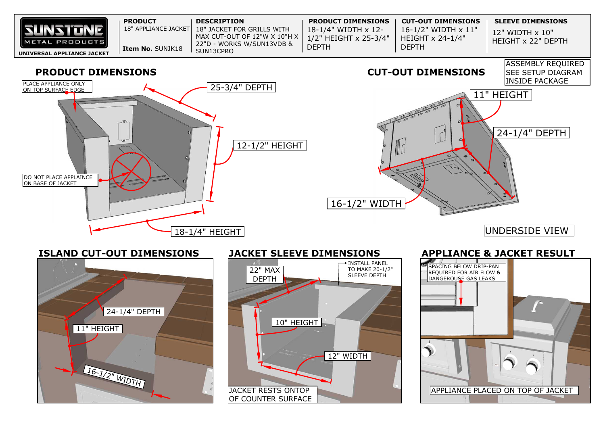| <b>Item No. SUNJK18</b><br>SUN13CPRO<br>UNIVERSAL APPLIANCE JACKET | <b>SUNSTONE</b><br>METAL PRODUCTS | <b>PRODUCT</b><br>18" APPLIANCE JACKET | <b>DESCRIPTION</b><br>$\mid$ 18" JACKET FOR GRILLS WITH<br>MAX CUT-OUT OF 12"W X 10"H X $\parallel$<br>22"D - WORKS W/SUN13VDB & | <b>PRODUCT DIMENSIONS</b><br>$18 - 1/4$ " WIDTH $\times$ 12-<br>1/2" HEIGHT x 25-3/4"<br><b>DEPTH</b> | <b>CUT-OUT DIMENS</b><br>16-1/2" WIDTH :<br>HEIGHT $\times$ 24-1/4<br><b>DEPTH</b> |
|--------------------------------------------------------------------|-----------------------------------|----------------------------------------|----------------------------------------------------------------------------------------------------------------------------------|-------------------------------------------------------------------------------------------------------|------------------------------------------------------------------------------------|
|--------------------------------------------------------------------|-----------------------------------|----------------------------------------|----------------------------------------------------------------------------------------------------------------------------------|-------------------------------------------------------------------------------------------------------|------------------------------------------------------------------------------------|



## **ISLAND CUT-OUT DIMENSIONS**  $16 - 1/2$ " WIDTH 11" HEIGHT 24-1/4" DEPTH JACKET RESTS ONTOP 10" HEIGHT 22" MAX DEPTH